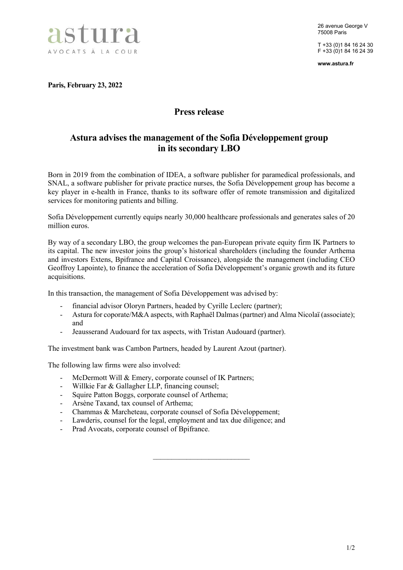

26 avenue George V 75008 Paris

T +33 (0)1 84 16 24 30 F +33 (0)1 84 16 24 39

www.astura.fr

Paris, February 23, 2022

## Press release

## Astura advises the management of the Sofia Développement group in its secondary LBO

Born in 2019 from the combination of IDEA, a software publisher for paramedical professionals, and SNAL, a software publisher for private practice nurses, the Sofia Développement group has become a key player in e-health in France, thanks to its software offer of remote transmission and digitalized services for monitoring patients and billing.

Sofia Développement currently equips nearly 30,000 healthcare professionals and generates sales of 20 million euros.

By way of a secondary LBO, the group welcomes the pan-European private equity firm IK Partners to its capital. The new investor joins the group's historical shareholders (including the founder Arthema and investors Extens, Bpifrance and Capital Croissance), alongside the management (including CEO Geoffroy Lapointe), to finance the acceleration of Sofia Développement's organic growth and its future acquisitions.

In this transaction, the management of Sofia Développement was advised by:

- financial advisor Oloryn Partners, headed by Cyrille Leclerc (partner);<br>- Astura for conorate/M&A aspects, with Raphaël Dalmas (partner) and A
- Astura for coporate/M&A aspects, with Raphaël Dalmas (partner) and Alma Nicolaï (associate); and

 $\overline{\phantom{a}}$  , where  $\overline{\phantom{a}}$  , where  $\overline{\phantom{a}}$  , where  $\overline{\phantom{a}}$ 

- Jeausserand Audouard for tax aspects, with Tristan Audouard (partner).

The investment bank was Cambon Partners, headed by Laurent Azout (partner).

The following law firms were also involved:

- McDermott Will & Emery, corporate counsel of IK Partners;
- Willkie Far & Gallagher LLP, financing counsel;
- Squire Patton Boggs, corporate counsel of Arthema;
- Arsène Taxand, tax counsel of Arthema;
- Chammas & Marcheteau, corporate counsel of Sofia Développement;
- Lawderis, counsel for the legal, employment and tax due diligence; and
- Prad Avocats, corporate counsel of Bpifrance.